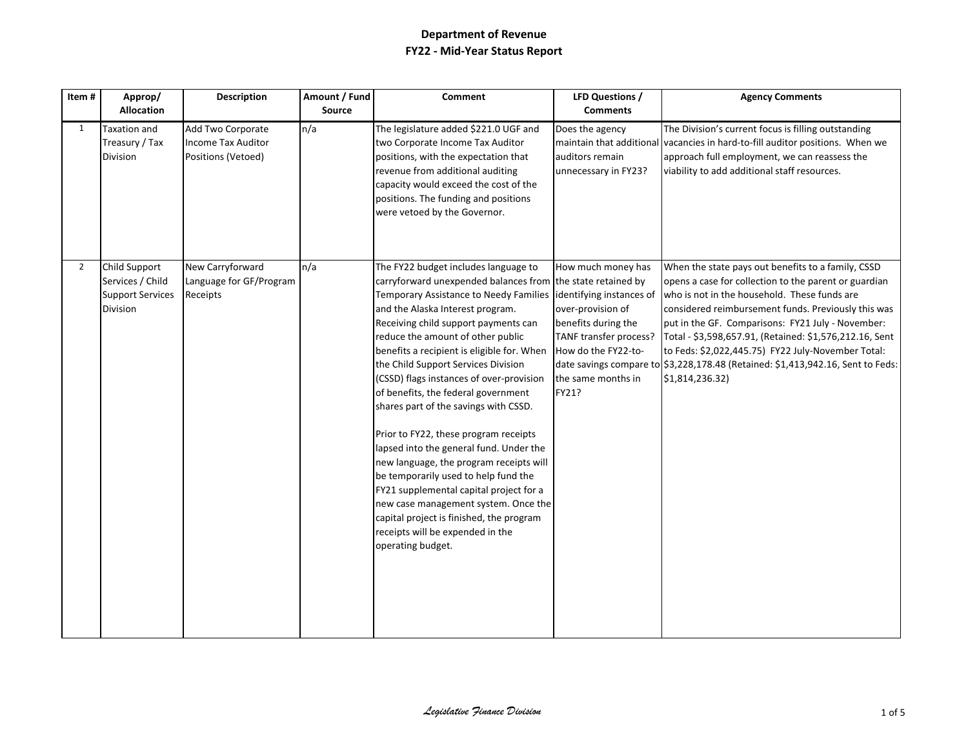| Item#          | Approp/                                                                         | Description                                                          | Amount / Fund | Comment                                                                                                                                                                                                                                                                                                                                                                                                                                                                                                                                                                                                                                                                                                                                                                                                                                        | LFD Questions /                                                                                                                                                            | <b>Agency Comments</b>                                                                                                                                                                                                                                                                                                                                                                                                                                                                         |
|----------------|---------------------------------------------------------------------------------|----------------------------------------------------------------------|---------------|------------------------------------------------------------------------------------------------------------------------------------------------------------------------------------------------------------------------------------------------------------------------------------------------------------------------------------------------------------------------------------------------------------------------------------------------------------------------------------------------------------------------------------------------------------------------------------------------------------------------------------------------------------------------------------------------------------------------------------------------------------------------------------------------------------------------------------------------|----------------------------------------------------------------------------------------------------------------------------------------------------------------------------|------------------------------------------------------------------------------------------------------------------------------------------------------------------------------------------------------------------------------------------------------------------------------------------------------------------------------------------------------------------------------------------------------------------------------------------------------------------------------------------------|
|                | <b>Allocation</b>                                                               |                                                                      | Source        |                                                                                                                                                                                                                                                                                                                                                                                                                                                                                                                                                                                                                                                                                                                                                                                                                                                | <b>Comments</b>                                                                                                                                                            |                                                                                                                                                                                                                                                                                                                                                                                                                                                                                                |
| $\mathbf{1}$   | Taxation and<br>Treasury / Tax<br><b>Division</b>                               | Add Two Corporate<br><b>Income Tax Auditor</b><br>Positions (Vetoed) | n/a           | The legislature added \$221.0 UGF and<br>two Corporate Income Tax Auditor<br>positions, with the expectation that<br>revenue from additional auditing<br>capacity would exceed the cost of the<br>positions. The funding and positions<br>were vetoed by the Governor.                                                                                                                                                                                                                                                                                                                                                                                                                                                                                                                                                                         | Does the agency<br>maintain that additional<br>auditors remain<br>unnecessary in FY23?                                                                                     | The Division's current focus is filling outstanding<br>vacancies in hard-to-fill auditor positions. When we<br>approach full employment, we can reassess the<br>viability to add additional staff resources.                                                                                                                                                                                                                                                                                   |
| $\overline{2}$ | Child Support<br>Services / Child<br><b>Support Services</b><br><b>Division</b> | New Carryforward<br>Language for GF/Program<br>Receipts              | n/a           | The FY22 budget includes language to<br>carryforward unexpended balances from the state retained by<br>Temporary Assistance to Needy Families<br>and the Alaska Interest program.<br>Receiving child support payments can<br>reduce the amount of other public<br>benefits a recipient is eligible for. When<br>the Child Support Services Division<br>(CSSD) flags instances of over-provision<br>of benefits, the federal government<br>shares part of the savings with CSSD.<br>Prior to FY22, these program receipts<br>lapsed into the general fund. Under the<br>new language, the program receipts will<br>be temporarily used to help fund the<br>FY21 supplemental capital project for a<br>new case management system. Once the<br>capital project is finished, the program<br>receipts will be expended in the<br>operating budget. | How much money has<br>identifying instances of<br>over-provision of<br>benefits during the<br>TANF transfer process?<br>How do the FY22-to-<br>the same months in<br>FY21? | When the state pays out benefits to a family, CSSD<br>opens a case for collection to the parent or guardian<br>who is not in the household. These funds are<br>considered reimbursement funds. Previously this was<br>put in the GF. Comparisons: FY21 July - November:<br>Total - \$3,598,657.91, (Retained: \$1,576,212.16, Sent<br>to Feds: \$2,022,445.75) FY22 July-November Total:<br>date savings compare to \$3,228,178.48 (Retained: \$1,413,942.16, Sent to Feds:<br>\$1,814,236.32) |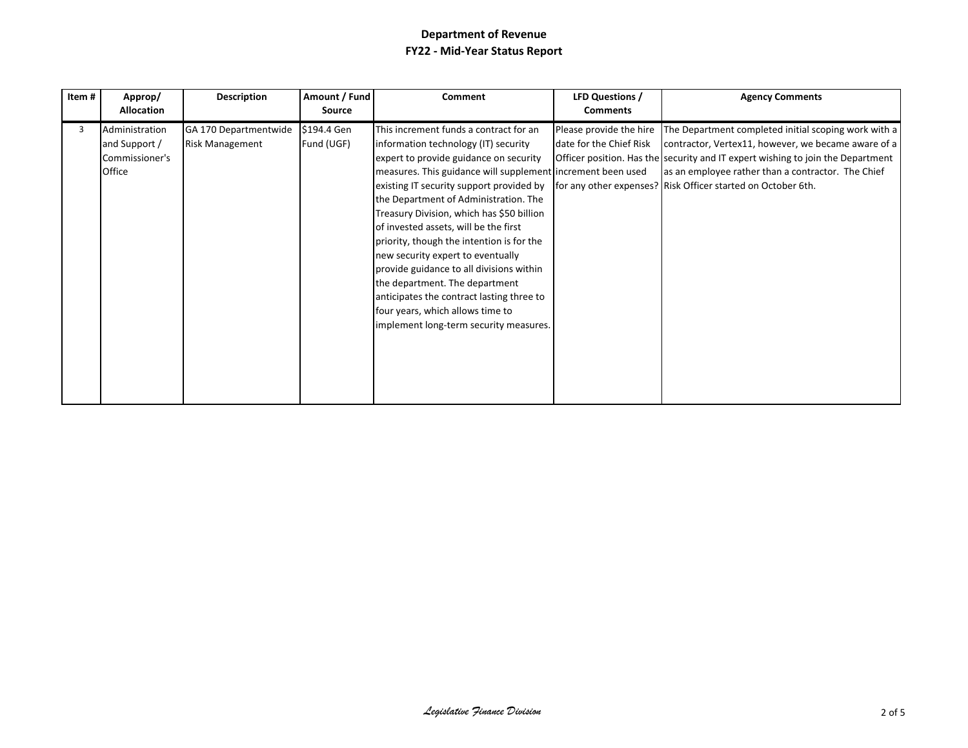| Item# | Approp/<br><b>Allocation</b>                                | <b>Description</b>                              | Amount / Fund<br><b>Source</b> | Comment                                                                                                                                                                                                                                                                                                                                                                                                                                                                                                                                                                                                                                                       | <b>LFD Questions /</b><br><b>Comments</b>          | <b>Agency Comments</b>                                                                                                                                                                                                                                                                                                      |
|-------|-------------------------------------------------------------|-------------------------------------------------|--------------------------------|---------------------------------------------------------------------------------------------------------------------------------------------------------------------------------------------------------------------------------------------------------------------------------------------------------------------------------------------------------------------------------------------------------------------------------------------------------------------------------------------------------------------------------------------------------------------------------------------------------------------------------------------------------------|----------------------------------------------------|-----------------------------------------------------------------------------------------------------------------------------------------------------------------------------------------------------------------------------------------------------------------------------------------------------------------------------|
| 3     | Administration<br>and Support /<br>Commissioner's<br>Office | GA 170 Departmentwide<br><b>Risk Management</b> | \$194.4 Gen<br>Fund (UGF)      | This increment funds a contract for an<br>information technology (IT) security<br>expert to provide guidance on security<br>measures. This guidance will supplement increment been used<br>existing IT security support provided by<br>the Department of Administration. The<br>Treasury Division, which has \$50 billion<br>of invested assets, will be the first<br>priority, though the intention is for the<br>new security expert to eventually<br>provide guidance to all divisions within<br>the department. The department<br>anticipates the contract lasting three to<br>four years, which allows time to<br>implement long-term security measures. | Please provide the hire<br>date for the Chief Risk | The Department completed initial scoping work with a<br>contractor, Vertex11, however, we became aware of a<br><b>Officer position. Has the security and IT expert wishing to join the Department</b><br>as an employee rather than a contractor. The Chief<br>for any other expenses? Risk Officer started on October 6th. |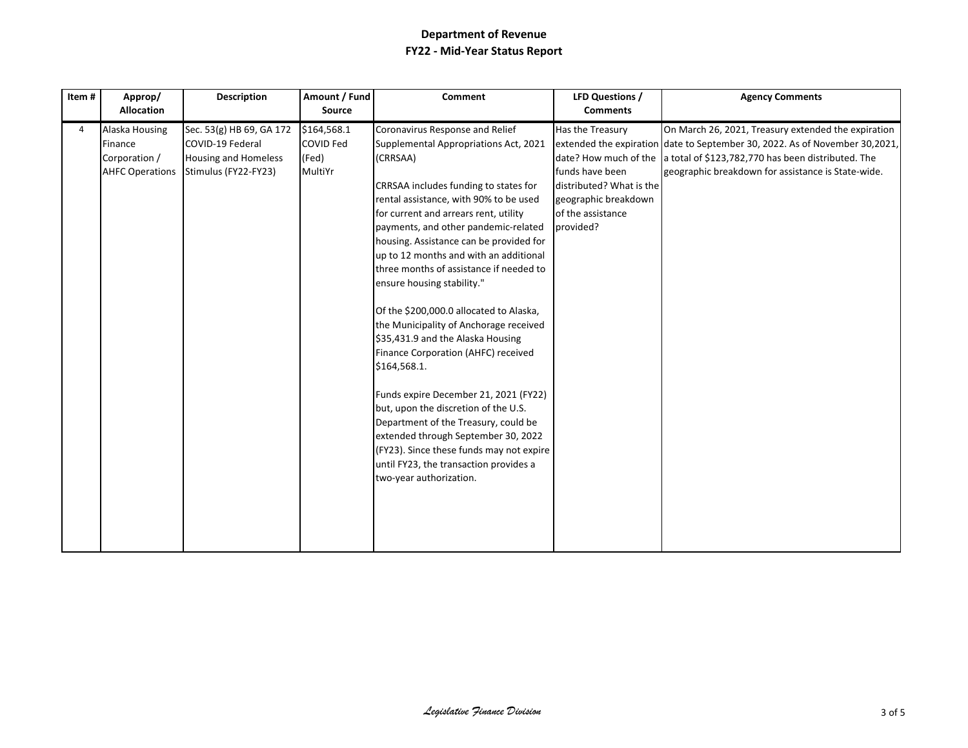| Item# | Approp/<br><b>Allocation</b>                                         | <b>Description</b>                                                                                  | Amount / Fund<br>Source                             | <b>Comment</b>                                                                                                                                                                                                                                                                                                                                                                                                                                                                                                                                                                                                                                                                                                                                                                                                                                                                           | LFD Questions /<br><b>Comments</b>                                                                                        | <b>Agency Comments</b>                                                                                                                                                                                                                                               |
|-------|----------------------------------------------------------------------|-----------------------------------------------------------------------------------------------------|-----------------------------------------------------|------------------------------------------------------------------------------------------------------------------------------------------------------------------------------------------------------------------------------------------------------------------------------------------------------------------------------------------------------------------------------------------------------------------------------------------------------------------------------------------------------------------------------------------------------------------------------------------------------------------------------------------------------------------------------------------------------------------------------------------------------------------------------------------------------------------------------------------------------------------------------------------|---------------------------------------------------------------------------------------------------------------------------|----------------------------------------------------------------------------------------------------------------------------------------------------------------------------------------------------------------------------------------------------------------------|
| 4     | Alaska Housing<br>Finance<br>Corporation /<br><b>AHFC Operations</b> | Sec. 53(g) HB 69, GA 172<br>COVID-19 Federal<br><b>Housing and Homeless</b><br>Stimulus (FY22-FY23) | \$164,568.1<br><b>COVID Fed</b><br>(Fed)<br>MultiYr | Coronavirus Response and Relief<br>Supplemental Appropriations Act, 2021<br>(CRRSAA)<br>CRRSAA includes funding to states for<br>rental assistance, with 90% to be used<br>for current and arrears rent, utility<br>payments, and other pandemic-related<br>housing. Assistance can be provided for<br>up to 12 months and with an additional<br>three months of assistance if needed to<br>ensure housing stability."<br>Of the \$200,000.0 allocated to Alaska,<br>the Municipality of Anchorage received<br>\$35,431.9 and the Alaska Housing<br>Finance Corporation (AHFC) received<br>\$164,568.1.<br>Funds expire December 21, 2021 (FY22)<br>but, upon the discretion of the U.S.<br>Department of the Treasury, could be<br>extended through September 30, 2022<br>(FY23). Since these funds may not expire<br>until FY23, the transaction provides a<br>two-year authorization. | Has the Treasury<br>funds have been<br>distributed? What is the<br>geographic breakdown<br>of the assistance<br>provided? | On March 26, 2021, Treasury extended the expiration<br>extended the expiration date to September 30, 2022. As of November 30,2021,<br>date? How much of the a total of \$123,782,770 has been distributed. The<br>geographic breakdown for assistance is State-wide. |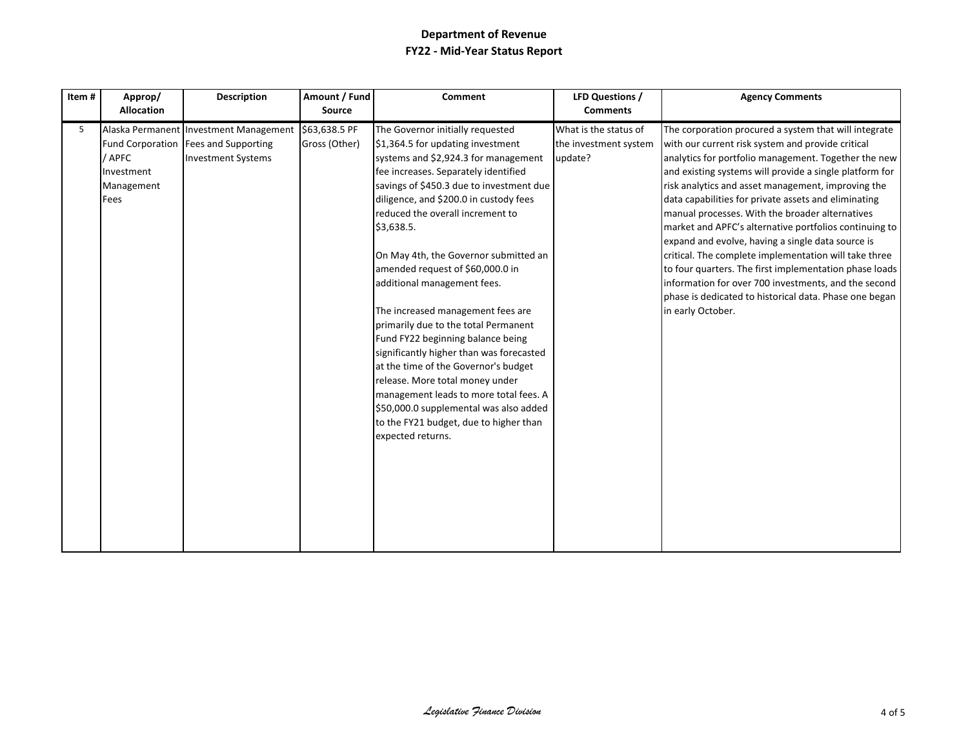| Item# | Approp/<br><b>Allocation</b>               | <b>Description</b>                                                                                                          | Amount / Fund<br><b>Source</b> | <b>Comment</b>                                                                                                                                                                                                                                                                                                                                                                                                                                                                                                                                                                                                                                                                                                                                                                                        | LFD Questions /<br><b>Comments</b>                        | <b>Agency Comments</b>                                                                                                                                                                                                                                                                                                                                                                                                                                                                                                                                                                                                                                                                                                                                                  |
|-------|--------------------------------------------|-----------------------------------------------------------------------------------------------------------------------------|--------------------------------|-------------------------------------------------------------------------------------------------------------------------------------------------------------------------------------------------------------------------------------------------------------------------------------------------------------------------------------------------------------------------------------------------------------------------------------------------------------------------------------------------------------------------------------------------------------------------------------------------------------------------------------------------------------------------------------------------------------------------------------------------------------------------------------------------------|-----------------------------------------------------------|-------------------------------------------------------------------------------------------------------------------------------------------------------------------------------------------------------------------------------------------------------------------------------------------------------------------------------------------------------------------------------------------------------------------------------------------------------------------------------------------------------------------------------------------------------------------------------------------------------------------------------------------------------------------------------------------------------------------------------------------------------------------------|
| 5     | / APFC<br>Investment<br>Management<br>Fees | Alaska Permanent Investment Management \$63,638.5 PF<br>Fund Corporation   Fees and Supporting<br><b>Investment Systems</b> | Gross (Other)                  | The Governor initially requested<br>\$1,364.5 for updating investment<br>systems and \$2,924.3 for management<br>fee increases. Separately identified<br>savings of \$450.3 due to investment due<br>diligence, and \$200.0 in custody fees<br>reduced the overall increment to<br>\$3,638.5.<br>On May 4th, the Governor submitted an<br>amended request of \$60,000.0 in<br>additional management fees.<br>The increased management fees are<br>primarily due to the total Permanent<br>Fund FY22 beginning balance being<br>significantly higher than was forecasted<br>at the time of the Governor's budget<br>release. More total money under<br>management leads to more total fees. A<br>\$50,000.0 supplemental was also added<br>to the FY21 budget, due to higher than<br>expected returns. | What is the status of<br>the investment system<br>update? | The corporation procured a system that will integrate<br>with our current risk system and provide critical<br>analytics for portfolio management. Together the new<br>and existing systems will provide a single platform for<br>risk analytics and asset management, improving the<br>data capabilities for private assets and eliminating<br>manual processes. With the broader alternatives<br>market and APFC's alternative portfolios continuing to<br>expand and evolve, having a single data source is<br>critical. The complete implementation will take three<br>to four quarters. The first implementation phase loads<br>information for over 700 investments, and the second<br>phase is dedicated to historical data. Phase one began<br>in early October. |